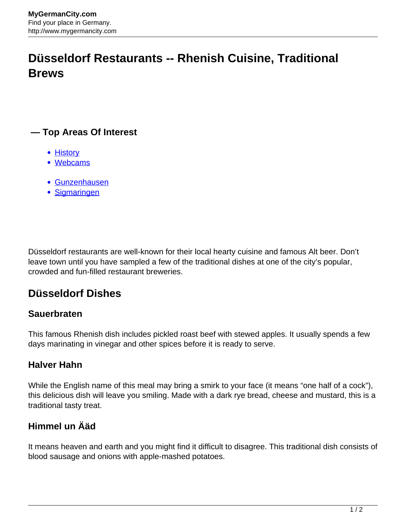# **Düsseldorf Restaurants -- Rhenish Cuisine, Traditional Brews**

## **— Top Areas Of Interest**

- **[History](http://www.mygermancity.com/leipzig-history)**
- [Webcams](http://www.mygermancity.com/neustadt-holstein-webcams)
- [Gunzenhausen](http://www.mygermancity.com/gunzenhausen)
- [Sigmaringen](http://www.mygermancity.com/sigmaringen)

Düsseldorf restaurants are well-known for their local hearty cuisine and famous Alt beer. Don't leave town until you have sampled a few of the traditional dishes at one of the city's popular, crowded and fun-filled restaurant breweries.

# **Düsseldorf Dishes**

### **Sauerbraten**

This famous Rhenish dish includes pickled roast beef with stewed apples. It usually spends a few days marinating in vinegar and other spices before it is ready to serve.

### **Halver Hahn**

While the English name of this meal may bring a smirk to your face (it means "one half of a cock"), this delicious dish will leave you smiling. Made with a dark rye bread, cheese and mustard, this is a traditional tasty treat.

## **Himmel un Ääd**

It means heaven and earth and you might find it difficult to disagree. This traditional dish consists of blood sausage and onions with apple-mashed potatoes.